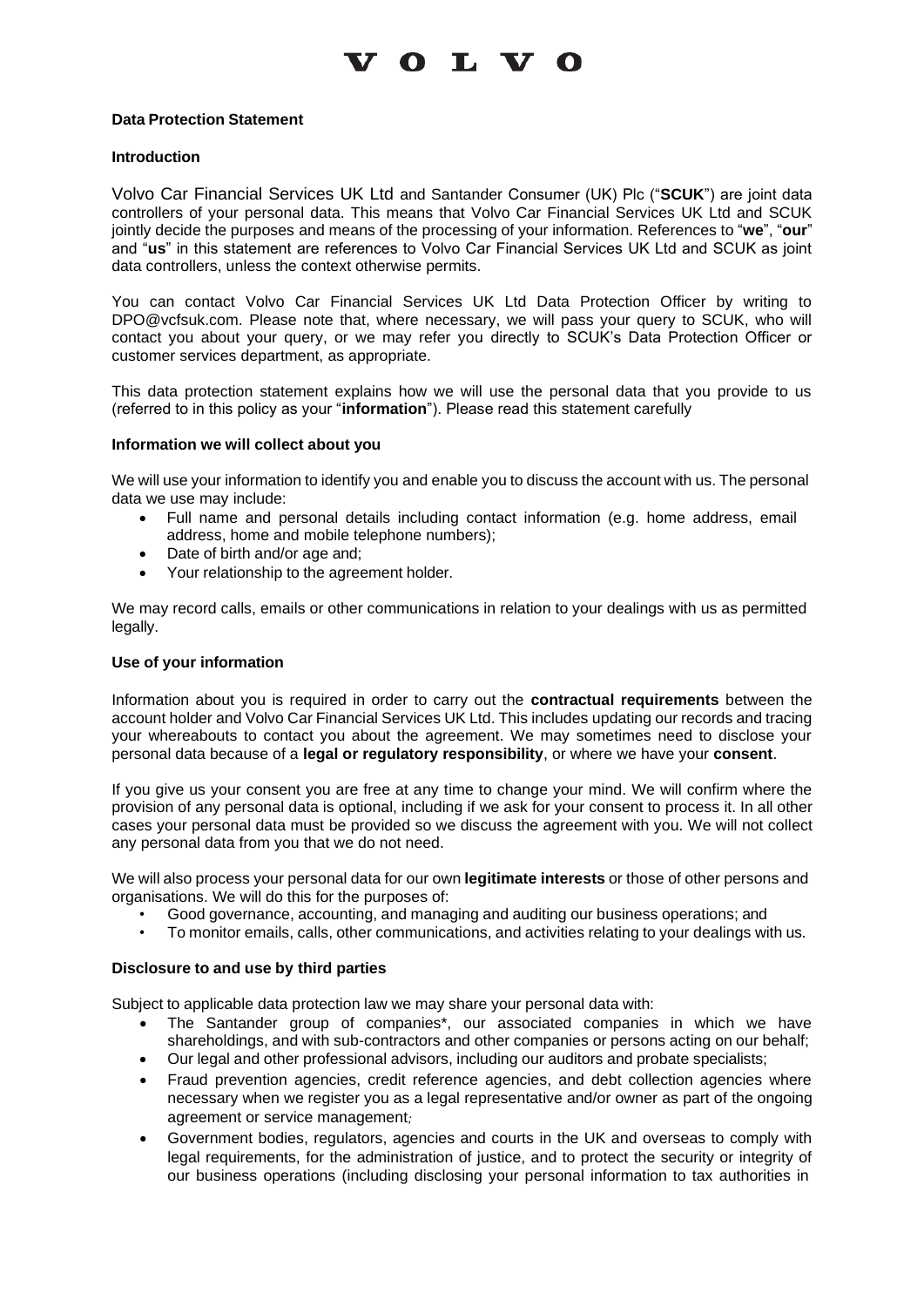## $V$  O L V O

### **Data Protection Statement**

### **Introduction**

Volvo Car Financial Services UK Ltd and Santander Consumer (UK) Plc ("**SCUK**") are joint data controllers of your personal data. This means that Volvo Car Financial Services UK Ltd and SCUK jointly decide the purposes and means of the processing of your information. References to "**we**", "**our**" and "**us**" in this statement are references to Volvo Car Financial Services UK Ltd and SCUK as joint data controllers, unless the context otherwise permits.

You can contact Volvo Car Financial Services UK Ltd Data Protection Officer by writing to [DPO@vcfsuk.com.](mailto:DPO@vcfsuk.com) Please note that, where necessary, we will pass your query to SCUK, who will contact you about your query, or we may refer you directly to SCUK's Data Protection Officer or customer services department, as appropriate.

This data protection statement explains how we will use the personal data that you provide to us (referred to in this policy as your "**information**"). Please read this statement carefully

### **Information we will collect about you**

We will use your information to identify you and enable you to discuss the account with us. The personal data we use may include:

- Full name and personal details including contact information (e.g. home address, email address, home and mobile telephone numbers);
- Date of birth and/or age and;
- Your relationship to the agreement holder.

We may record calls, emails or other communications in relation to your dealings with us as permitted legally.

#### **Use of your information**

Information about you is required in order to carry out the **contractual requirements** between the account holder and Volvo Car Financial Services UK Ltd. This includes updating our records and tracing your whereabouts to contact you about the agreement. We may sometimes need to disclose your personal data because of a **legal or regulatory responsibility**, or where we have your **consent**.

If you give us your consent you are free at any time to change your mind. We will confirm where the provision of any personal data is optional, including if we ask for your consent to process it. In all other cases your personal data must be provided so we discuss the agreement with you. We will not collect any personal data from you that we do not need.

We will also process your personal data for our own **legitimate interests** or those of other persons and organisations. We will do this for the purposes of:

- Good governance, accounting, and managing and auditing our business operations; and
- To monitor emails, calls, other communications, and activities relating to your dealings with us.

#### **Disclosure to and use by third parties**

Subject to applicable data protection law we may share your personal data with:

- The Santander group of companies\*, our associated companies in which we have shareholdings, and with sub-contractors and other companies or persons acting on our behalf;
- Our legal and other professional advisors, including our auditors and probate specialists;
- Fraud prevention agencies, credit reference agencies, and debt collection agencies where necessary when we register you as a legal representative and/or owner as part of the ongoing agreement or service management*;*
- Government bodies, regulators, agencies and courts in the UK and overseas to comply with legal requirements, for the administration of justice, and to protect the security or integrity of our business operations (including disclosing your personal information to tax authorities in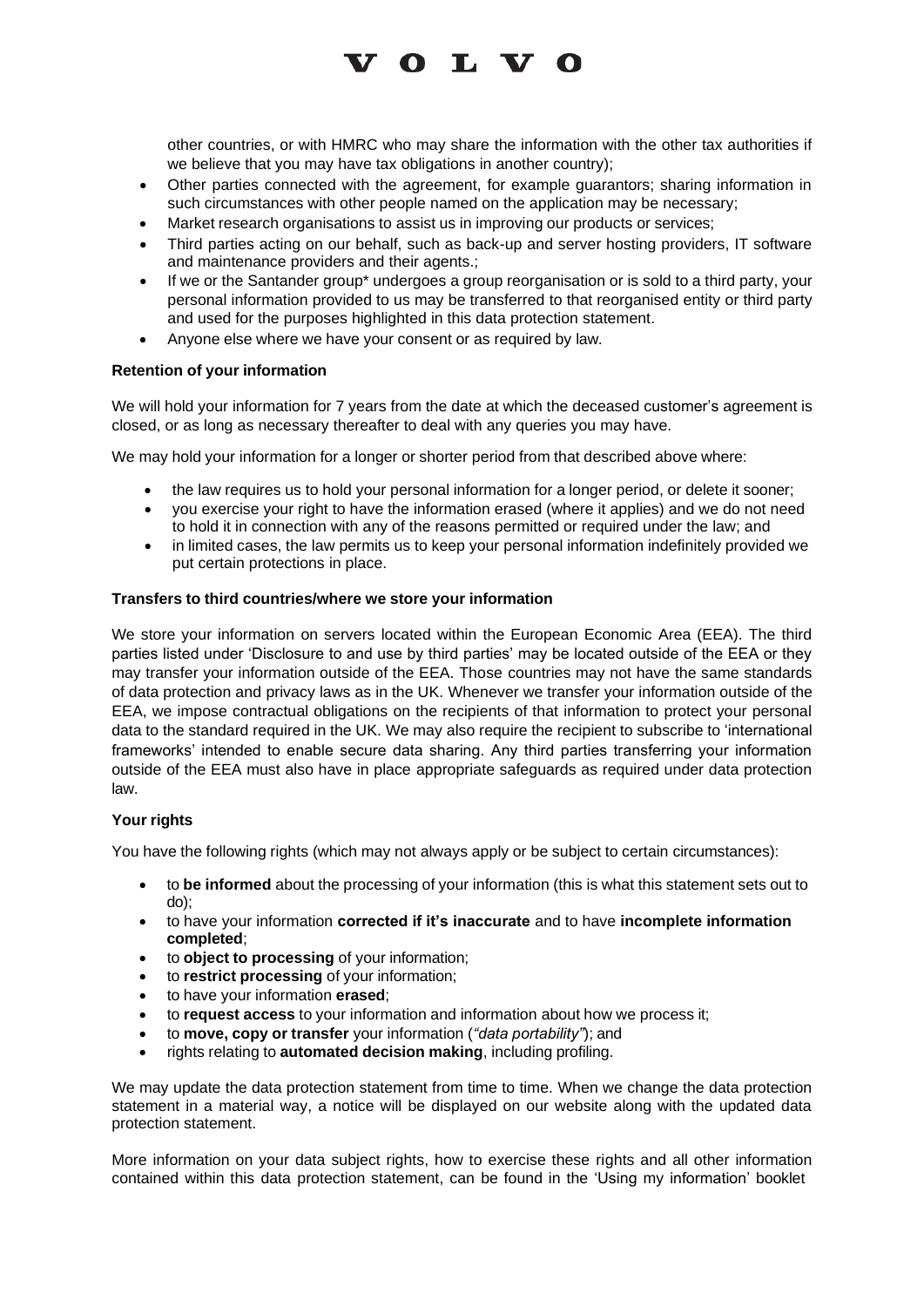## **VOLVO**

other countries, or with HMRC who may share the information with the other tax authorities if we believe that you may have tax obligations in another country);

- Other parties connected with the agreement, for example guarantors; sharing information in such circumstances with other people named on the application may be necessary;
- Market research organisations to assist us in improving our products or services;
- Third parties acting on our behalf, such as back-up and server hosting providers, IT software and maintenance providers and their agents.;
- If we or the Santander group<sup>\*</sup> undergoes a group reorganisation or is sold to a third party, your personal information provided to us may be transferred to that reorganised entity or third party and used for the purposes highlighted in this data protection statement.
- Anyone else where we have your consent or as required by law.

## **Retention of your information**

We will hold your information for 7 years from the date at which the deceased customer's agreement is closed, or as long as necessary thereafter to deal with any queries you may have.

We may hold your information for a longer or shorter period from that described above where:

- the law requires us to hold your personal information for a longer period, or delete it sooner;
- you exercise your right to have the information erased (where it applies) and we do not need to hold it in connection with any of the reasons permitted or required under the law; and
- in limited cases, the law permits us to keep your personal information indefinitely provided we put certain protections in place.

## **Transfers to third countries/where we store your information**

We store your information on servers located within the European Economic Area (EEA). The third parties listed under 'Disclosure to and use by third parties' may be located outside of the EEA or they may transfer your information outside of the EEA. Those countries may not have the same standards of data protection and privacy laws as in the UK. Whenever we transfer your information outside of the EEA, we impose contractual obligations on the recipients of that information to protect your personal data to the standard required in the UK. We may also require the recipient to subscribe to 'international frameworks' intended to enable secure data sharing. Any third parties transferring your information outside of the EEA must also have in place appropriate safeguards as required under data protection law.

## **Your rights**

You have the following rights (which may not always apply or be subject to certain circumstances):

- to **be informed** about the processing of your information (this is what this statement sets out to do);
- to have your information **corrected if it's inaccurate** and to have **incomplete information completed**;
- to **object to processing** of your information;
- to **restrict processing** of your information;
- to have your information **erased**;
- to **request access** to your information and information about how we process it;
- to **move, copy or transfer** your information (*"data portability"*); and
- rights relating to **automated decision making**, including profiling.

We may update the data protection statement from time to time. When we change the data protection statement in a material way, a notice will be displayed on our website along with the updated data protection statement.

More information on your data subject rights, how to exercise these rights and all other information contained within this data protection statement, can be found in the 'Using my information' booklet